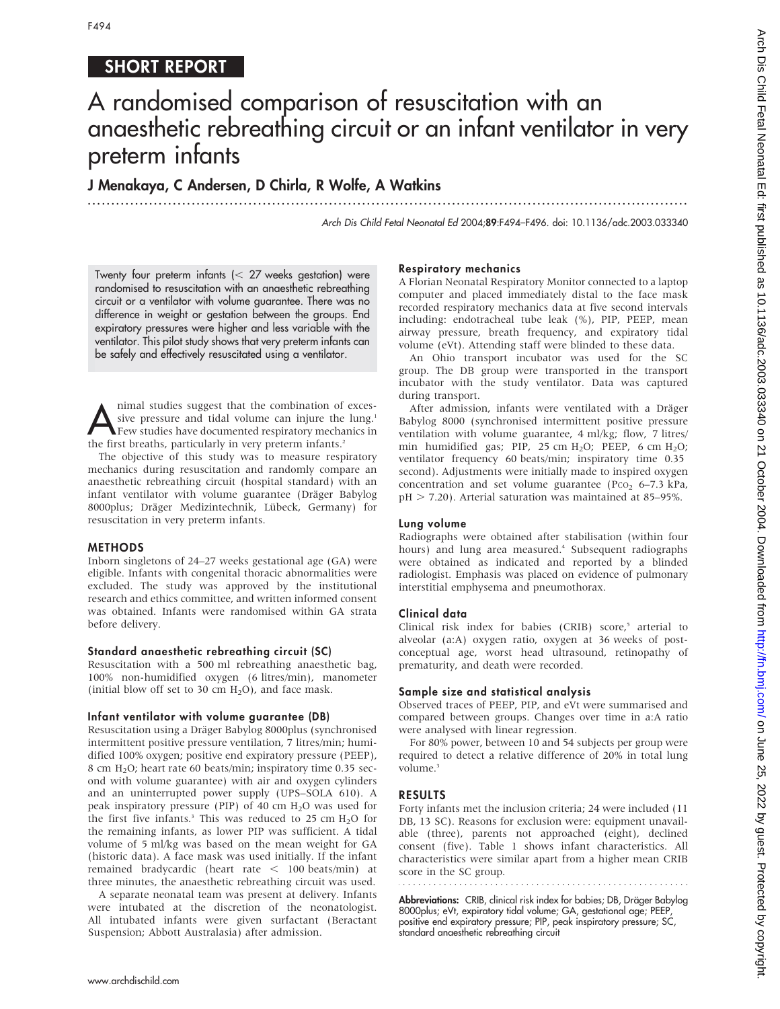# SHORT REPORT

# A randomised comparison of resuscitation with an anaesthetic rebreathing circuit or an infant ventilator in very preterm infants

...............................................................................................................................

J Menakaya, C Andersen, D Chirla, R Wolfe, A Watkins

Arch Dis Child Fetal Neonatal Ed 2004;89:F494–F496. doi: 10.1136/adc.2003.033340

Twenty four preterm infants  $\ll$  27 weeks gestation) were randomised to resuscitation with an anaesthetic rebreathing circuit or a ventilator with volume guarantee. There was no difference in weight or gestation between the groups. End expiratory pressures were higher and less variable with the ventilator. This pilot study shows that very preterm infants can be safely and effectively resuscitated using a ventilator.

mimal studies suggest that the combination of exces-<br>Sive pressure and tidal volume can injure the lung.<sup>1</sup><br>Few studies have documented respiratory mechanics in<br>the first breaths, particularly in very pretern infants<sup>2</sup> sive pressure and tidal volume can injure the lung.<sup>1</sup> the first breaths, particularly in very preterm infants.<sup>2</sup>

The objective of this study was to measure respiratory mechanics during resuscitation and randomly compare an anaesthetic rebreathing circuit (hospital standard) with an infant ventilator with volume guarantee (Dräger Babylog 8000plus; Dräger Medizintechnik, Lübeck, Germany) for resuscitation in very preterm infants.

#### METHODS

Inborn singletons of 24–27 weeks gestational age (GA) were eligible. Infants with congenital thoracic abnormalities were excluded. The study was approved by the institutional research and ethics committee, and written informed consent was obtained. Infants were randomised within GA strata before delivery.

#### Standard anaesthetic rebreathing circuit (SC)

Resuscitation with a 500 ml rebreathing anaesthetic bag, 100% non-humidified oxygen (6 litres/min), manometer (initial blow off set to 30 cm  $H_2O$ ), and face mask.

#### Infant ventilator with volume guarantee (DB)

Resuscitation using a Dräger Babylog 8000plus (synchronised intermittent positive pressure ventilation, 7 litres/min; humidified 100% oxygen; positive end expiratory pressure (PEEP), 8 cm H2O; heart rate 60 beats/min; inspiratory time 0.35 second with volume guarantee) with air and oxygen cylinders and an uninterrupted power supply (UPS–SOLA 610). A peak inspiratory pressure (PIP) of 40 cm  $H<sub>2</sub>O$  was used for the first five infants.<sup>3</sup> This was reduced to 25 cm  $H_2O$  for the remaining infants, as lower PIP was sufficient. A tidal volume of 5 ml/kg was based on the mean weight for GA (historic data). A face mask was used initially. If the infant remained bradycardic (heart rate  $<$  100 beats/min) at three minutes, the anaesthetic rebreathing circuit was used.

A separate neonatal team was present at delivery. Infants were intubated at the discretion of the neonatologist. All intubated infants were given surfactant (Beractant Suspension; Abbott Australasia) after admission.

#### Respiratory mechanics

A Florian Neonatal Respiratory Monitor connected to a laptop computer and placed immediately distal to the face mask recorded respiratory mechanics data at five second intervals including: endotracheal tube leak (%), PIP, PEEP, mean airway pressure, breath frequency, and expiratory tidal volume (eVt). Attending staff were blinded to these data.

An Ohio transport incubator was used for the SC group. The DB group were transported in the transport incubator with the study ventilator. Data was captured during transport.

After admission, infants were ventilated with a Dräger Babylog 8000 (synchronised intermittent positive pressure ventilation with volume guarantee, 4 ml/kg; flow, 7 litres/ min humidified gas; PIP, 25 cm  $H_2O$ ; PEEP, 6 cm  $H_2O$ ; ventilator frequency 60 beats/min; inspiratory time 0.35 second). Adjustments were initially made to inspired oxygen concentration and set volume guarantee (Pco<sub>2</sub>  $6-7.3$  kPa,  $pH > 7.20$ ). Arterial saturation was maintained at 85–95%.

#### Lung volume

Radiographs were obtained after stabilisation (within four hours) and lung area measured.<sup>4</sup> Subsequent radiographs were obtained as indicated and reported by a blinded radiologist. Emphasis was placed on evidence of pulmonary interstitial emphysema and pneumothorax.

#### Clinical data

Clinical risk index for babies (CRIB) score,<sup>5</sup> arterial to alveolar (a:A) oxygen ratio, oxygen at 36 weeks of postconceptual age, worst head ultrasound, retinopathy of prematurity, and death were recorded.

#### Sample size and statistical analysis

Observed traces of PEEP, PIP, and eVt were summarised and compared between groups. Changes over time in a:A ratio were analysed with linear regression.

For 80% power, between 10 and 54 subjects per group were required to detect a relative difference of 20% in total lung volume.<sup>3</sup>

#### RESULTS

Forty infants met the inclusion criteria; 24 were included (11 DB, 13 SC). Reasons for exclusion were: equipment unavailable (three), parents not approached (eight), declined consent (five). Table 1 shows infant characteristics. All characteristics were similar apart from a higher mean CRIB score in the SC group.

Abbreviations: CRIB, clinical risk index for babies; DB, Dräger Babylog 8000plus; eVt, expiratory tidal volume; GA, gestational age; PEEP, positive end expiratory pressure; PIP, peak inspiratory pressure; SC, standard anaesthetic rebreathing circuit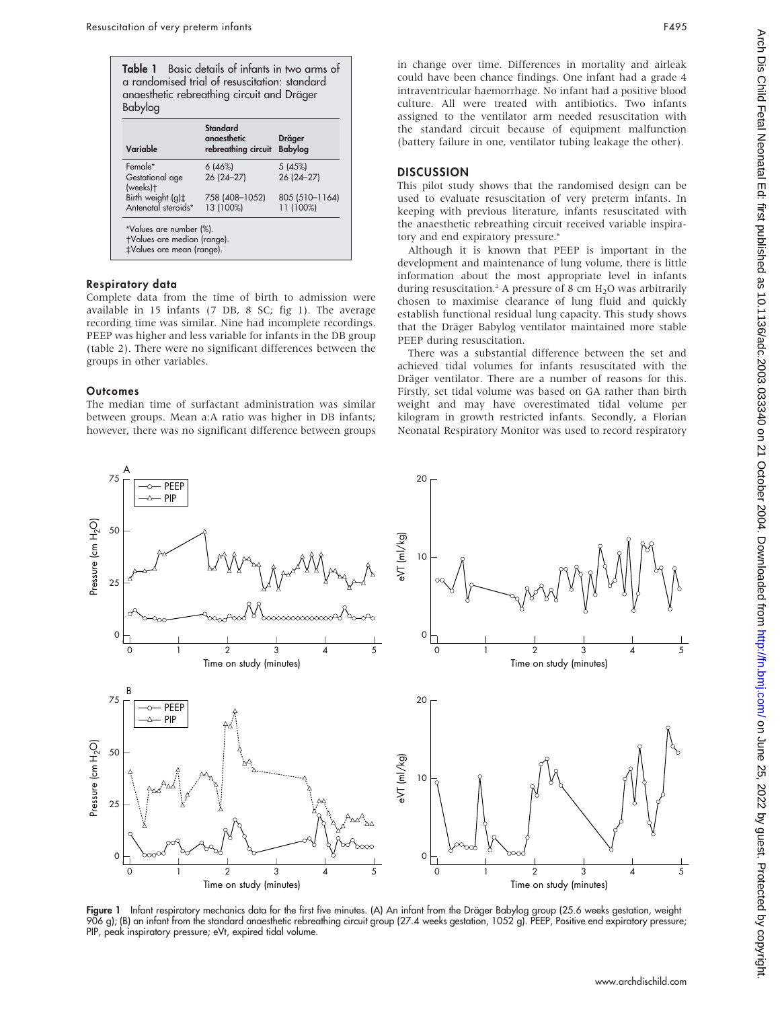| Variable                                                                            | <b>Standard</b><br>anaesthetic<br>rebreathing circuit | Dräger<br><b>Babylog</b> |
|-------------------------------------------------------------------------------------|-------------------------------------------------------|--------------------------|
| Female*                                                                             | 6(46%)                                                | 5(45%)                   |
| Gestational age<br>(weeks)t                                                         | 26 (24-27)                                            | 26 (24-27)               |
| Birth weight (g) <sup>+</sup>                                                       | 758 (408-1052)                                        | 805 (510-1164)           |
| Antenatal steroids*                                                                 | 13 (100%)                                             | 11 (100%)                |
| *Values are number (%).<br>†Values are median (range).<br>‡Values are mean (range). |                                                       |                          |

## Respiratory data

Complete data from the time of birth to admission were available in 15 infants (7 DB, 8 SC; fig 1). The average recording time was similar. Nine had incomplete recordings. PEEP was higher and less variable for infants in the DB group (table 2). There were no significant differences between the groups in other variables.

### **Outcomes**

The median time of surfactant administration was similar between groups. Mean a:A ratio was higher in DB infants; however, there was no significant difference between groups in change over time. Differences in mortality and airleak could have been chance findings. One infant had a grade 4 intraventricular haemorrhage. No infant had a positive blood culture. All were treated with antibiotics. Two infants assigned to the ventilator arm needed resuscitation with the standard circuit because of equipment malfunction (battery failure in one, ventilator tubing leakage the other).

# **DISCUSSION**

This pilot study shows that the randomised design can be used to evaluate resuscitation of very preterm infants. In keeping with previous literature, infants resuscitated with the anaesthetic rebreathing circuit received variable inspiratory and end expiratory pressure.<sup>6</sup>

Although it is known that PEEP is important in the development and maintenance of lung volume, there is little information about the most appropriate level in infants during resuscitation.<sup>2</sup> A pressure of 8 cm  $H<sub>2</sub>O$  was arbitrarily chosen to maximise clearance of lung fluid and quickly establish functional residual lung capacity. This study shows that the Dräger Babylog ventilator maintained more stable PEEP during resuscitation.

There was a substantial difference between the set and achieved tidal volumes for infants resuscitated with the Dräger ventilator. There are a number of reasons for this. Firstly, set tidal volume was based on GA rather than birth weight and may have overestimated tidal volume per kilogram in growth restricted infants. Secondly, a Florian Neonatal Respiratory Monitor was used to record respiratory



**Figure 1** Infant respiratory mechanics data for the first five minutes. (A) An infant from the Dräger Babylog group (25.6 weeks gestation, weight 906 g); (B) an infant from the standard anaesthetic rebreathing circuit group (27.4 weeks gestation, 1052 g). PEEP, Positive end expiratory pressure; PIP, peak inspiratory pressure; eVt, expired tidal volume.